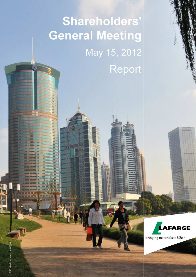# **Shareholders' General Meeting** May 15, 2012 Report



bringing materials to  $\hat{t}$ fe<sup>\*\*</sup>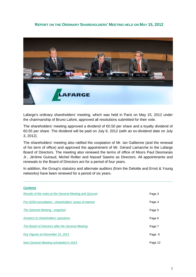### **REPORT ON THE ORDINARY SHAREHOLDERS' MEETING HELD ON MAY 15, 2012**



Lafarge's ordinary shareholders' meeting, which was held in Paris on May 15, 2012 under the chairmanship of Bruno Lafont, approved all resolutions submitted for their vote.

The shareholders' meeting approved a dividend of €0.50 per share and a loyalty dividend of €0.55 per share. The dividend will be paid on July 6, 2012 (with an ex-dividend date on July 3, 2012).

The shareholders' meeting also ratified the cooptation of Mr. Ian Gallienne (and the renewal of his term of office) and approved the appointment of Mr. Gérard Lamarche to the Lafarge Board of Directors. The meeting also renewed the terms of office of Mssrs Paul Desmarais Jr., Jérôme Guiraud, Michel Rollier and Nassef Sawiris as Directors. All appointments and renewals to the Board of Directors are for a period of four years.

In addition, the Group's statutory and alternate auditors (from the Deloitte and Ernst & Young networks) have been renewed for a period of six years.

**\_\_\_\_\_\_\_\_\_\_\_\_\_\_\_\_\_\_\_\_\_\_\_\_\_\_\_\_\_\_\_\_\_\_\_\_\_\_\_\_\_\_\_\_\_\_\_\_\_\_\_\_\_\_\_\_\_\_\_\_\_\_\_\_\_\_\_\_\_\_\_\_\_\_**

### **Contents**

| Results of the votes at the General Meeting and Quorum  | Page 3  |
|---------------------------------------------------------|---------|
| Pre-AGM consultation: shareholders' areas of interest   | Page 4  |
| The General Meeting: snapshot                           | Page 5  |
| Answers to shareholders' questions                      | Page 6  |
| <b>The Board of Directors after the General Meeting</b> | Page 7  |
| Key Figures at December 31, 2011                        | Page 9  |
| <b>Next General Meeting scheduled in 2013</b>           | Page 12 |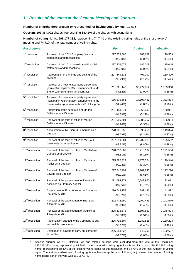### **1. Results of the votes at the General Meeting and Quorum**

### **Number of shareholders present or represented, or having voted by mail**: 17,636

**Quorum**: 196,384,022 shares, representing **68,41%** of the shares with voting rights

**Number of voting rights**: 298 177 332, representing 74,74% of the existing voting rights at the shareholders' meeting and 74,71% of the total number of voting rights.

| <b>Resolutions</b>          |                                                                                                                                        | <b>For</b>                 | <b>Against</b>            | <b>Abstain</b>       |
|-----------------------------|----------------------------------------------------------------------------------------------------------------------------------------|----------------------------|---------------------------|----------------------|
| 1 <sup>st</sup> resolution  | Approval of the 2011 Company financial                                                                                                 | 297,873,066                | 183,697                   | 120,569              |
|                             | statements and transactions                                                                                                            | $(99.90\%)$                | (0.06%)                   | $(0.04\%)$           |
| $2nd$ resolution            | Approval of the 2011 consolidated financial                                                                                            | 297,876,079                | 186,208                   | 115,045              |
|                             | statements and transactions                                                                                                            | $(99.90\%)$                | $(0.06\%)$                | $(0.04\%)$           |
| 3 <sup>rd</sup> resolution  | Appropriation of earnings and setting of the                                                                                           | 297,549,336                | 497,097                   | 130,899              |
|                             | dividend                                                                                                                               | (99.79%)                   | (0.17%)                   | $(0.04\%)$           |
| 4 <sup>th</sup> resolution  | Approval of a new related-party agreement<br>(convention réglementée): amendment to Mr.<br>Bruno Lafont's employment contract          | 261,221,140<br>(87.62%)    | 35,772,812<br>$(12.00\%)$ | 1,135,368<br>(0.38%) |
| 5 <sup>th</sup> resolution* | Approval of a new related-party agreement<br>(convention réglementée): amendment to the<br>Shareholder agreement with NNS Holding Sàrl | 166,376,561<br>$(91.44\%)$ | 14,197,481<br>$(7.80\%)$  | 1,383,834<br>(0.76%) |
| $6th$ resolution            | Ratification of the cooptation of Mr. Ian                                                                                              | 281,458,341                | 15,568,090                | 1,150,901            |
|                             | Gallienne as a Director                                                                                                                | (94.39%)                   | $(5.22\%)$                | (0.39%)              |
| 7 <sup>th</sup> resolution  | Renewal of the term of office of Mr. Ian                                                                                               | 281,056,491                | 15,985,757                | 1,135,084            |
|                             | Gallienne as a Director                                                                                                                | (94.26%)                   | (5.36%)                   | (0.38%)              |
| 8 <sup>th</sup> resolution  | Appointment of Mr. Gérard Lamarche as a                                                                                                | 278, 161, 752              | 18,896,256                | 1,119,324            |
|                             | Director                                                                                                                               | (93.29%)                   | (6.34%)                   | (0.37%)              |
| 9 <sup>th</sup> resolution  | Renewal of the term of office of Mr. Paul                                                                                              | 267,819,301                | 29,232,529                | 1,125,502            |
|                             | Desmarais Jr. as a Director                                                                                                            | (89.82%)                   | $(9.80\%)$                | (0.38%)              |
| 10 <sup>th</sup> resolution | Renewal of the term of office of Mr. Jérôme                                                                                            | 278,837,609                | 18,218,187                | 1,121,536            |
|                             | Guiraud as a Director                                                                                                                  | $(93.51\%)$                | $(6.11\%)$                | (0.38%)              |
| 11 <sup>th</sup> resolution | Renewal of the term of office of Mr. Michel                                                                                            | 295,882,822                | 1,173,564                 | 1,120,946            |
|                             | Rollier as a Director                                                                                                                  | (99.23%)                   | (0.39%)                   | (0.38%)              |
| 12 <sup>th</sup> resolution | Renewal of the term of office of Mr. Nassef                                                                                            | 277,342,791                | 19,707,245                | 1,127,296            |
|                             | Sawiris as a Director                                                                                                                  | $(93.01\%)$                | (6.61%)                   | (0.38%)              |
| 13 <sup>th</sup> resolution | Renewal of the appointment of Deloitte &                                                                                               | 291,794,371                | 5,249,950                 | 1,133,011            |
|                             | Associés as Statutory Auditor                                                                                                          | (97.86%)                   | (1.76%)                   | (0.38%)              |
| 14 <sup>th</sup> resolution | Appointment of Ernst & Young et Autres as                                                                                              | 296,748,259                | 287,181                   | 1,141,892            |
|                             | <b>Statutory Auditor</b>                                                                                                               | (99.52%)                   | $(0.10\%)$                | (0.38%)              |
| 15 <sup>th</sup> resolution | Renewal of the appointment of BEAS as                                                                                                  | 292,774,290                | 4,260,463                 | 1,142,579            |
|                             | Alternate Auditor                                                                                                                      | (98.19%)                   | (1.43%)                   | (0.38%)              |
| 16 <sup>th</sup> resolution | Renewal of the appointment of Auditex as                                                                                               | 295,433,678                | 1,597,830                 | 1,145,824            |
|                             | <b>Alternate Auditor</b>                                                                                                               | (99.08%)                   | (0.54%)                   | $(0.38\%)$           |
| 17 <sup>th</sup> resolution | Authorization granted to the Company to buy                                                                                            | 295,716,604                | 1,280,525                 | 1,180,203            |
|                             | and sell its own shares                                                                                                                | (99.17%)                   | (0.43%)                   | $(0.40\%)$           |
| 18 <sup>th</sup> resolution | Delegation of powers to carry out corporate                                                                                            | 296,888,427                | 149,298                   | 1,139,607            |
|                             | formalities                                                                                                                            | (99.57%)                   | (0.05%)                   | (0.38%)              |

\* Specific quorum, as NNS Holding Sàrl and related persons were excluded from the vote of the resolution: 156,315,392 shares, representing, 63.28% of the shares with voting rights for this resolution, and 218,312,966 voting rights, representing 68.42% of the existing voting rights for this resolution and 54.70% of the total number of voting rights. The statutory adjustment of voting rights mechanism applied and, following adjustment, the number of voting rights taking part in the vote was 181,957,876.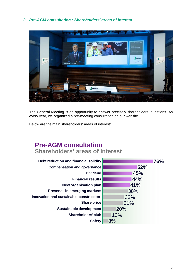### **2. Pre-AGM consultation : Shareholders' areas of interest**



The General Meeting is an opportunity to answer precisely shareholders' questions. As every year, we organized a pre-meeting consultation on our website.

Below are the main shareholders' areas of interest:

# **Pre-AGM consultation Shareholders' areas of interest**

| 76% |
|-----|
| 52% |
| 45% |
| 44% |
| 41% |
| 38% |
| 33% |
| 31% |
| 20% |
| 13% |
| 8%  |
|     |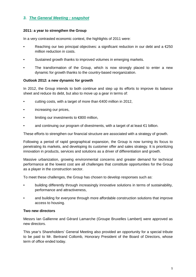### **3. The General Meeting : snapshot**

### **2011: a year to strengthen the Group**

In a very contrasted economic context, the highlights of 2011 were:

- Reaching our two principal objectives: a significant reduction in our debt and a  $\epsilon$ 250 million reduction in costs.
- Sustained growth thanks to improved volumes in emerging markets.
- The transformation of the Group, which is now strongly placed to enter a new dynamic for growth thanks to the country-based reorganization.

### **Outlook 2012: a new dynamic for growth**

In 2012, the Group intends to both continue and step up its efforts to improve its balance sheet and reduce its debt, but also to move up a gear in terms of:

- cutting costs, with a target of more than  $\epsilon$ 400 million in 2012,
- increasing our prices,
- limiting our investments to €800 million,
- and continuing our program of divestments, with a target of at least  $€1$  billion.

These efforts to strengthen our financial structure are associated with a strategy of growth.

Following a period of rapid geographical expansion, the Group is now turning its focus to penetrating its markets, and developing its customer offer and sales strategy. It is prioritizing innovation in products, services and solutions as a driver of differentiation and growth.

Massive urbanization, growing environmental concerns and greater demand for technical performance at the lowest cost are all challenges that constitute opportunities for the Group as a player in the construction sector.

To meet these challenges, the Group has chosen to develop responses such as:

- building differently through increasingly innovative solutions in terms of sustainability, performance and attractiveness,
- and building for everyone through more affordable construction solutions that improve access to housing.

### **Two new directors**

Messrs Ian Gallienne and Gérard Lamarche (Groupe Bruxelles Lambert) were approved as new directors.

This year's Shareholders' General Meeting also provided an opportunity for a special tribute to be paid to Mr. Bertrand Collomb, Honorary President of the Board of Directors, whose term of office ended today.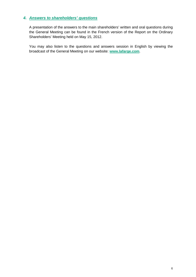### **4. Answers to shareholders' questions**

A presentation of the answers to the main shareholders' written and oral questions during the General Meeting can be found in the French version of the Report on the Ordinary Shareholders' Meeting held on May 15, 2012.

You may also listen to the questions and answers session in English by viewing the broadcast of the General Meeting on our website: **www.lafarge.com**.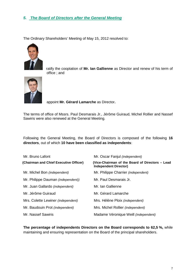### **5. The Board of Directors after the General Meeting**

The Ordinary Shareholders' Meeting of May 15, 2012 resolved to:



 ratify the cooptation of **Mr. Ian Gallienne** as Director and renew of his term of office ; and



appoint **Mr. Gérard Lamarche** as Director**.**

The terms of office of Mssrs. Paul Desmarais Jr., Jérôme Guiraud, Michel Rollier and Nassef Sawiris were also renewed at the General Meeting.

Following the General Meeting, the Board of Directors is composed of the following **16 directors**, out of which **10 have been classified as independents**:

| Mr. Bruno Lafont                       | Mr. Oscar Fanjul (independent)                                                  |
|----------------------------------------|---------------------------------------------------------------------------------|
| (Chairman and Chief Executive Officer) | (Vice-Chairman of the Board of Directors - Lead<br><b>Independent Director)</b> |
| Mr. Michel Bon (independent)           | Mr. Philippe Charrier (independent)                                             |
| Mr. Philippe Dauman (independent))     | Mr. Paul Desmarais Jr.                                                          |
| Mr. Juan Gallardo (independent)        | Mr. Ian Gallienne                                                               |
| Mr. Jérôme Guiraud                     | Mr. Gérard Lamarche                                                             |
| Mrs. Colette Lewiner (independent)     | Mrs. Hélène Ploix (independent)                                                 |
| Mr. Baudouin Prot (independent)        | Mrs. Michel Rollier (independent)                                               |
| Mr. Nassef Sawiris                     | Madame Véronique Weill (independent)                                            |

**The percentage of independents Directors on the Board corresponds to 62,5 %,** while maintaining and ensuring representation on the Board of the principal shareholders.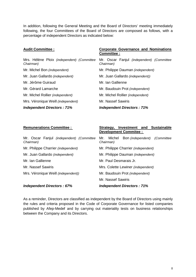In addition, following the General Meeting and the Board of Directors' meeting immediately following, the four Committees of the Board of Directors are composed as follows, with a percentage of independent Directors as indicated below:

| <b>Audit Committee:</b>                                 | <b>Corporate Governance and Nominations</b><br>Committee : |  |
|---------------------------------------------------------|------------------------------------------------------------|--|
| Mrs. Hélène Ploix (independent) (Committee<br>Chairman) | Mr. Oscar Fanjul (independent) (Committee<br>Chairman)     |  |
| Mr. Michel Bon (independent)                            | Mr. Philippe Dauman (independent)                          |  |
| Mr. Juan Gallardo (independent)                         | Mr. Juan Gallardo (independent))                           |  |
| Mr. Jérôme Guiraud                                      | Mr. Ian Gallienne                                          |  |
| Mr. Gérard Lamarche                                     | Mr. Baudouin Prot (independent)                            |  |
| Mr. Michel Rollier (independent)                        | Mr. Michel Rollier (independent)                           |  |
| Mrs. Véronique Weill <i>(independent)</i>               | Mr. Nassef Sawiris                                         |  |
| <b>Independent Directors: 71%</b>                       | <b>Independent Directors: 71%</b>                          |  |

### **Remunerations Committee : Strategy, Investment and Sustainable Development Commitee :**

| Mr. Oscar Fanjul (independent) (Committee<br>Chairman) | Mr. Michel<br>Bon <i>(independent)</i><br>(Committee<br>Chairman) |  |  |  |
|--------------------------------------------------------|-------------------------------------------------------------------|--|--|--|
| Mr. Philippe Charrier (independent)                    | Mr. Philippe Charrier (independent)                               |  |  |  |
| Mr. Juan Gallardo (independent)                        | Mr. Philippe Dauman (independent)                                 |  |  |  |
| Mr. Ian Gallienne                                      | Mr. Paul Desmarais Jr.                                            |  |  |  |
| Mr. Nassef Sawiris                                     | Mrs. Colette Lewiner (independent)                                |  |  |  |
| Mrs. Véronique Weill (independent))                    | Mr. Baudouin Prot (independent)                                   |  |  |  |
|                                                        | Mr. Nassef Sawiris                                                |  |  |  |
| <b>Independent Directors: 67%</b>                      | <b>Independent Directors: 71%</b>                                 |  |  |  |

As a reminder, Directors are classified as independent by the Board of Directors using mainly the rules and criteria proposed in the Code of Corporate Governance for listed companies published by Afep-Medef and by carrying out materiality tests on business relationships between the Company and its Directors.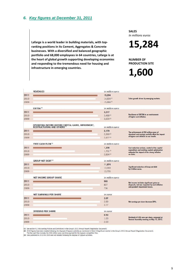### **6. Key figures at December 31, 2011**

**Lafarge is a world leader in building materials, with topranking positions in its Cement, Aggregates & Concrete businesses. With a diversified and balanced geographic portfolio and 68,000 employees in 64 countries, Lafarge is at the heart of global growth supporting developing economies and responding to the tremendous need for housing and infrastructure in emerging countries.** 

**SALES**  *In millions euros* 

**15,284** 

**NUMBER OF PRODUCTION SITE** 

# **1,600**

|      | <b>REVENUES</b>                                                                               | in million euros |                                                                                                 |
|------|-----------------------------------------------------------------------------------------------|------------------|-------------------------------------------------------------------------------------------------|
| 2011 |                                                                                               | 15,284           |                                                                                                 |
| 2010 |                                                                                               | 14.834(2)        | Sales growth driven by emerging markets.                                                        |
| 2009 |                                                                                               | 15.884(3)        |                                                                                                 |
|      | EBITDA <sup>(1)</sup>                                                                         | in million euros |                                                                                                 |
| 2011 |                                                                                               | 3,217            |                                                                                                 |
| 2010 |                                                                                               | 3,488(2)         | <b>Resilience of EBITDA in an environment</b><br>of higher cost inflation.                      |
| 2009 |                                                                                               | 3,600(3)         |                                                                                                 |
|      | OPERATING INCOME BEFORE CAPITAL GAINS, IMPAIRMENT,<br>RESTRUCTURING AND OTHERS <sup>(1)</sup> |                  |                                                                                                 |
|      |                                                                                               | in million euros |                                                                                                 |
| 2011 |                                                                                               | 2,179            | The achievement of 250 million euros of                                                         |
| 2010 |                                                                                               | 2,393(2)         | structural cost savings partially offset the impact<br>of higher cost inflation on our results. |
| 2009 |                                                                                               | 2.477(3)         |                                                                                                 |
|      | <b>FREE CASH FLOW(1)</b>                                                                      | in million euros |                                                                                                 |
| 2011 |                                                                                               | 1,208            | Cost reduction actions, control of the capital                                                  |
| 2010 |                                                                                               | 1.761(2)         | expenditure and working capital optimization<br>mitigated the impact of the strong inflation    |
| 2009 |                                                                                               | 2.834(3)         | on costs.                                                                                       |
|      | <b>GROUP NET DEBT<sup>(1)</sup></b>                                                           | in million euros |                                                                                                 |
| 2011 |                                                                                               | 11,974           |                                                                                                 |
| 2010 |                                                                                               | 13,993           | Significant reduction of Group net debt<br>by 2 billion euros.                                  |
| 2009 |                                                                                               | 13.795           |                                                                                                 |
|      | <b>NET INCOME GROUP SHARE</b>                                                                 | in million euros |                                                                                                 |
| 2011 |                                                                                               | 593              | Net income includes significant gains on                                                        |
| 2010 |                                                                                               | 827              | disposals, but was impacted by cost inflation                                                   |
| 2009 |                                                                                               | 736              | and goodwill impairment losses.                                                                 |
|      | <b>NET EARNINGS PER SHARE</b>                                                                 | in euros         |                                                                                                 |
| 2011 |                                                                                               | 2.07             |                                                                                                 |
| 2010 |                                                                                               | 2.89             | Net earnings per share decrease 28%.                                                            |
| 2009 |                                                                                               | 2.77             |                                                                                                 |
|      | <b>DIVIDEND PER SHARE</b>                                                                     | in euros         |                                                                                                 |
| 2011 |                                                                                               | 0.50             |                                                                                                 |
| 2010 |                                                                                               | 1.00             | Dividend of 0.50 euro per share, proposed at                                                    |
| 2009 |                                                                                               | 2.00             | General Assembly meeting on May 15, 2012.                                                       |
|      |                                                                                               |                  |                                                                                                 |

(1) See section 4.2 (Accounting Policies and Definitions) in the Group's 2011 Annual Report (Registration Document).<br>(2) 2010 figures have been restated following the disposal of Gypsum activities as mentioned in Note 3 (S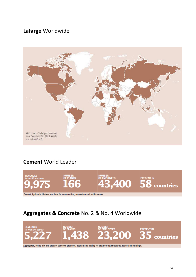# **Lafarge** Worldwide



## **Cement** World Leader



# **Aggregates & Concrete** No. 2 & No. 4 Worldwide



Aggregates, ready-mix and precast concrete products, asphalt and paving for engineering structures, roads and buildings.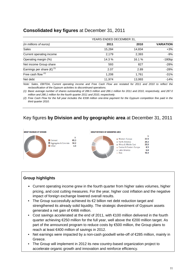### **Consolidated key figures** at December 31, 2011

|                                       | YEARS ENDED DECEMBER 31, |        |                  |
|---------------------------------------|--------------------------|--------|------------------|
| (in millions of euros)                | 2011                     | 2010   | <b>VARIATION</b> |
| Sales                                 | 15,284                   | 14,834 | $+3%$            |
| Current operating income              | 2,179                    | 2,393  | $-9%$            |
| Operating margin (%)                  | 14.3 %                   | 16.1 % | $-180bp$         |
| Net income Group share                | 593                      | 827    | $-28%$           |
| Earnings per share $(\epsilon)^{(1)}$ | 2.07                     | 2.89   | $-28%$           |
| Free cash flow $(2)$                  | 1,208                    | 1,761  | $-31%$           |
| Net debt                              | 11,974                   | 13,993 | $-14%$           |
|                                       |                          |        |                  |

Note: Sales, EBITDA, Current operating income and Free Cash Flow are restated for 2011 and 2010 to reflect the reclassification of the Gypsum activities to discontinued operations.

(1) Basic average number of shares outstanding of 286.5 million and 286.1 million for 2011 and 2010, respectively, and 287.0 million and 286.1 million for the fourth quarter 2011 and 2010, respectively.

(2) Free Cash Flow for the full year includes the €338 million one-time payment for the Gypsum competition fine paid in the third quarter 2010.

### Key figures **by Division and by geographic area** at December 31, 2011



### **Group highlights**

- Current operating income grew in the fourth quarter from higher sales volumes, higher pricing, and cost cutting measures. For the year, higher cost inflation and the negative impact of foreign exchange lowered overall results.
- The Group successfully achieved its €2 billion net debt reduction target and strengthened its already solid liquidity. The strategic divestment of Gypsum assets generated a net gain of €466 million.
- Cost savings accelerated at the end of 2011, with €100 million delivered in the fourth quarter achieving €250 million for the full year, well above the €200 million target. As part of the announced program to reduce costs by €500 million, the Group plans to reach at least €400 million of savings in 2012.
- Net earnings were impacted by a non-cash goodwill write-off of €285 million, mainly in Greece.
- The Group will implement in 2012 its new country-based organization project to accelerate organic growth and innovation and reinforce efficiency.